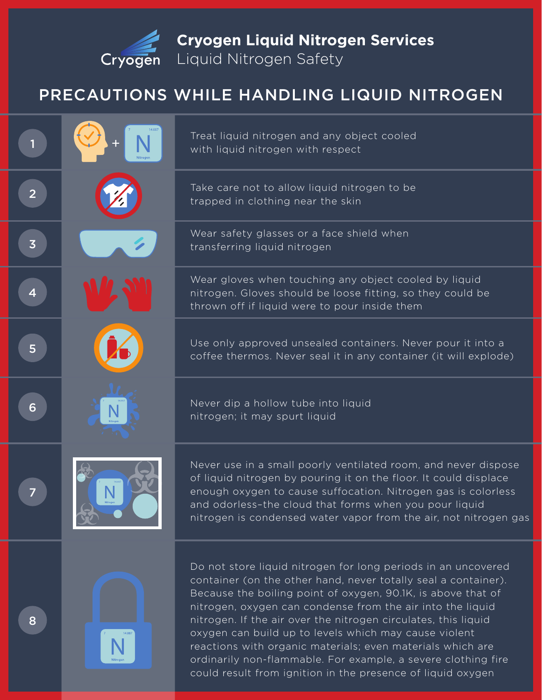

**Cryogen Liquid Nitrogen Services**

Liquid Nitrogen Safety

## PRECAUTIONS WHILE HANDLING LIQUID NITROGEN

Treat liquid nitrogen and any object cooled with liquid nitrogen with respect

Take care not to allow liquid nitrogen to be trapped in clothing near the skin

Wear safety glasses or a face shield when transferring liquid nitrogen

Wear gloves when touching any object cooled by liquid nitrogen. Gloves should be loose fitting, so they could be thrown off if liquid were to pour inside them

Use only approved unsealed containers. Never pour it into a coffee thermos. Never seal it in any container (it will explode)

Never dip a hollow tube into liquid nitrogen; it may spurt liquid

Never use in a small poorly ventilated room, and never dispose of liquid nitrogen by pouring it on the floor. It could displace enough oxygen to cause suffocation. Nitrogen gas is colorless and odorless–the cloud that forms when you pour liquid nitrogen is condensed water vapor from the air, not nitrogen gas



Do not store liquid nitrogen for long periods in an uncovered container (on the other hand, never totally seal a container). Because the boiling point of oxygen, 90.1K, is above that of nitrogen, oxygen can condense from the air into the liquid nitrogen. If the air over the nitrogen circulates, this liquid oxygen can build up to levels which may cause violent reactions with organic materials; even materials which are ordinarily non-flammable. For example, a severe clothing fire could result from ignition in the presence of liquid oxygen

8

1

2

3

4

5

6

7